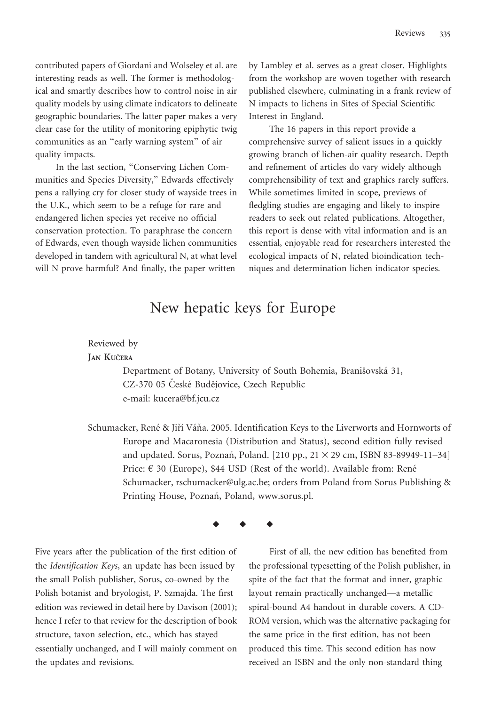contributed papers of Giordani and Wolseley et al. are interesting reads as well. The former is methodological and smartly describes how to control noise in air quality models by using climate indicators to delineate geographic boundaries. The latter paper makes a very clear case for the utility of monitoring epiphytic twig communities as an ''early warning system'' of air quality impacts.

In the last section, ''Conserving Lichen Communities and Species Diversity,'' Edwards effectively pens a rallying cry for closer study of wayside trees in the U.K., which seem to be a refuge for rare and endangered lichen species yet receive no official conservation protection. To paraphrase the concern of Edwards, even though wayside lichen communities developed in tandem with agricultural N, at what level will N prove harmful? And finally, the paper written

by Lambley et al. serves as a great closer. Highlights from the workshop are woven together with research published elsewhere, culminating in a frank review of N impacts to lichens in Sites of Special Scientific Interest in England.

The 16 papers in this report provide a comprehensive survey of salient issues in a quickly growing branch of lichen-air quality research. Depth and refinement of articles do vary widely although comprehensibility of text and graphics rarely suffers. While sometimes limited in scope, previews of fledgling studies are engaging and likely to inspire readers to seek out related publications. Altogether, this report is dense with vital information and is an essential, enjoyable read for researchers interested the ecological impacts of N, related bioindication techniques and determination lichen indicator species.

## New hepatic keys for Europe

## Reviewed by JAN KUČERA

Department of Botany, University of South Bohemia, Branišovská 31, CZ-370 05 České Budějovice, Czech Republic e-mail: kucera@bf.jcu.cz

Schumacker, René & Jiří Váňa. 2005. Identification Keys to the Liverworts and Hornworts of Europe and Macaronesia (Distribution and Status), second edition fully revised and updated. Sorus, Poznań, Poland. [210 pp.,  $21 \times 29$  cm, ISBN 83-89949-11-34] Price:  $\epsilon$  30 (Europe), \$44 USD (Rest of the world). Available from: René Schumacker, rschumacker@ulg.ac.be; orders from Poland from Sorus Publishing & Printing House, Poznań, Poland, www.sorus.pl.

## $\begin{array}{ccccccccccccc} \bullet & & \bullet & & \bullet & & \bullet \end{array}$

Five years after the publication of the first edition of the Identification Keys, an update has been issued by the small Polish publisher, Sorus, co-owned by the Polish botanist and bryologist, P. Szmajda. The first edition was reviewed in detail here by Davison (2001); hence I refer to that review for the description of book structure, taxon selection, etc., which has stayed essentially unchanged, and I will mainly comment on the updates and revisions.

First of all, the new edition has benefited from the professional typesetting of the Polish publisher, in spite of the fact that the format and inner, graphic layout remain practically unchanged—a metallic spiral-bound A4 handout in durable covers. A CD-ROM version, which was the alternative packaging for the same price in the first edition, has not been produced this time. This second edition has now received an ISBN and the only non-standard thing